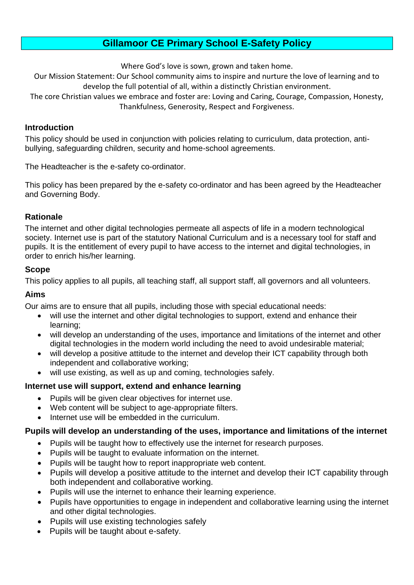# **Gillamoor CE Primary School E-Safety Policy**

Where God's love is sown, grown and taken home.

Our Mission Statement: Our School community aims to inspire and nurture the love of learning and to develop the full potential of all, within a distinctly Christian environment.

The core Christian values we embrace and foster are: Loving and Caring, Courage, Compassion, Honesty, Thankfulness, Generosity, Respect and Forgiveness.

#### **Introduction**

This policy should be used in conjunction with policies relating to curriculum, data protection, antibullying, safeguarding children, security and home-school agreements.

The Headteacher is the e-safety co-ordinator.

This policy has been prepared by the e-safety co-ordinator and has been agreed by the Headteacher and Governing Body.

#### **Rationale**

The internet and other digital technologies permeate all aspects of life in a modern technological society. Internet use is part of the statutory National Curriculum and is a necessary tool for staff and pupils. It is the entitlement of every pupil to have access to the internet and digital technologies, in order to enrich his/her learning.

#### **Scope**

This policy applies to all pupils, all teaching staff, all support staff, all governors and all volunteers.

#### **Aims**

Our aims are to ensure that all pupils, including those with special educational needs:

- will use the internet and other digital technologies to support, extend and enhance their learning;
- will develop an understanding of the uses, importance and limitations of the internet and other digital technologies in the modern world including the need to avoid undesirable material;
- will develop a positive attitude to the internet and develop their ICT capability through both independent and collaborative working;
- will use existing, as well as up and coming, technologies safely.

#### **Internet use will support, extend and enhance learning**

- Pupils will be given clear objectives for internet use.
- Web content will be subject to age-appropriate filters.
- Internet use will be embedded in the curriculum.

#### **Pupils will develop an understanding of the uses, importance and limitations of the internet**

- Pupils will be taught how to effectively use the internet for research purposes.
- Pupils will be taught to evaluate information on the internet.
- Pupils will be taught how to report inappropriate web content.
- Pupils will develop a positive attitude to the internet and develop their ICT capability through both independent and collaborative working.
- Pupils will use the internet to enhance their learning experience.
- Pupils have opportunities to engage in independent and collaborative learning using the internet and other digital technologies.
- Pupils will use existing technologies safely
- Pupils will be taught about e-safety.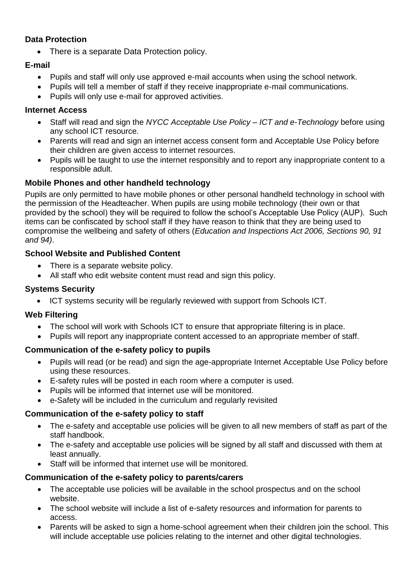## **Data Protection**

• There is a separate Data Protection policy.

## **E-mail**

- Pupils and staff will only use approved e-mail accounts when using the school network.
- Pupils will tell a member of staff if they receive inappropriate e-mail communications.
- Pupils will only use e-mail for approved activities.

### **Internet Access**

- Staff will read and sign the *NYCC Acceptable Use Policy – ICT and e-Technology* before using any school ICT resource.
- Parents will read and sign an internet access consent form and Acceptable Use Policy before their children are given access to internet resources.
- Pupils will be taught to use the internet responsibly and to report any inappropriate content to a responsible adult.

### **Mobile Phones and other handheld technology**

Pupils are only permitted to have mobile phones or other personal handheld technology in school with the permission of the Headteacher. When pupils are using mobile technology (their own or that provided by the school) they will be required to follow the school's Acceptable Use Policy (AUP). Such items can be confiscated by school staff if they have reason to think that they are being used to compromise the wellbeing and safety of others (*Education and Inspections Act 2006, Sections 90, 91 and 94)*.

### **School Website and Published Content**

- There is a separate website policy.
- All staff who edit website content must read and sign this policy.

## **Systems Security**

ICT systems security will be regularly reviewed with support from Schools ICT.

### **Web Filtering**

- The school will work with Schools ICT to ensure that appropriate filtering is in place.
- Pupils will report any inappropriate content accessed to an appropriate member of staff.

### **Communication of the e-safety policy to pupils**

- Pupils will read (or be read) and sign the age-appropriate Internet Acceptable Use Policy before using these resources.
- E-safety rules will be posted in each room where a computer is used.
- Pupils will be informed that internet use will be monitored.
- e-Safety will be included in the curriculum and regularly revisited

### **Communication of the e-safety policy to staff**

- The e-safety and acceptable use policies will be given to all new members of staff as part of the staff handbook.
- The e-safety and acceptable use policies will be signed by all staff and discussed with them at least annually.
- Staff will be informed that internet use will be monitored.

### **Communication of the e-safety policy to parents/carers**

- The acceptable use policies will be available in the school prospectus and on the school website.
- The school website will include a list of e-safety resources and information for parents to access.
- Parents will be asked to sign a home-school agreement when their children join the school. This will include acceptable use policies relating to the internet and other digital technologies.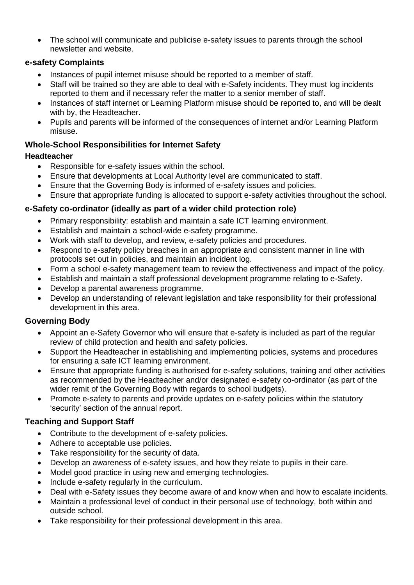The school will communicate and publicise e-safety issues to parents through the school newsletter and website.

### **e-safety Complaints**

- Instances of pupil internet misuse should be reported to a member of staff.
- Staff will be trained so they are able to deal with e-Safety incidents. They must log incidents reported to them and if necessary refer the matter to a senior member of staff.
- Instances of staff internet or Learning Platform misuse should be reported to, and will be dealt with by, the Headteacher.
- Pupils and parents will be informed of the consequences of internet and/or Learning Platform misuse.

## **Whole-School Responsibilities for Internet Safety**

### **Headteacher**

- Responsible for e-safety issues within the school.
- Ensure that developments at Local Authority level are communicated to staff.
- Ensure that the Governing Body is informed of e-safety issues and policies.
- Ensure that appropriate funding is allocated to support e-safety activities throughout the school.

# **e-Safety co-ordinator (ideally as part of a wider child protection role)**

- Primary responsibility: establish and maintain a safe ICT learning environment.
- Establish and maintain a school-wide e-safety programme.
- Work with staff to develop, and review, e-safety policies and procedures.
- Respond to e-safety policy breaches in an appropriate and consistent manner in line with protocols set out in policies, and maintain an incident log.
- Form a school e-safety management team to review the effectiveness and impact of the policy.
- Establish and maintain a staff professional development programme relating to e-Safety.
- Develop a parental awareness programme.
- Develop an understanding of relevant legislation and take responsibility for their professional development in this area.

# **Governing Body**

- Appoint an e-Safety Governor who will ensure that e-safety is included as part of the regular review of child protection and health and safety policies.
- Support the Headteacher in establishing and implementing policies, systems and procedures for ensuring a safe ICT learning environment.
- Ensure that appropriate funding is authorised for e-safety solutions, training and other activities as recommended by the Headteacher and/or designated e-safety co-ordinator (as part of the wider remit of the Governing Body with regards to school budgets).
- Promote e-safety to parents and provide updates on e-safety policies within the statutory 'security' section of the annual report.

# **Teaching and Support Staff**

- Contribute to the development of e-safety policies.
- Adhere to acceptable use policies.
- Take responsibility for the security of data.
- Develop an awareness of e-safety issues, and how they relate to pupils in their care.
- Model good practice in using new and emerging technologies.
- Include e-safety regularly in the curriculum.
- Deal with e-Safety issues they become aware of and know when and how to escalate incidents.
- Maintain a professional level of conduct in their personal use of technology, both within and outside school.
- Take responsibility for their professional development in this area.